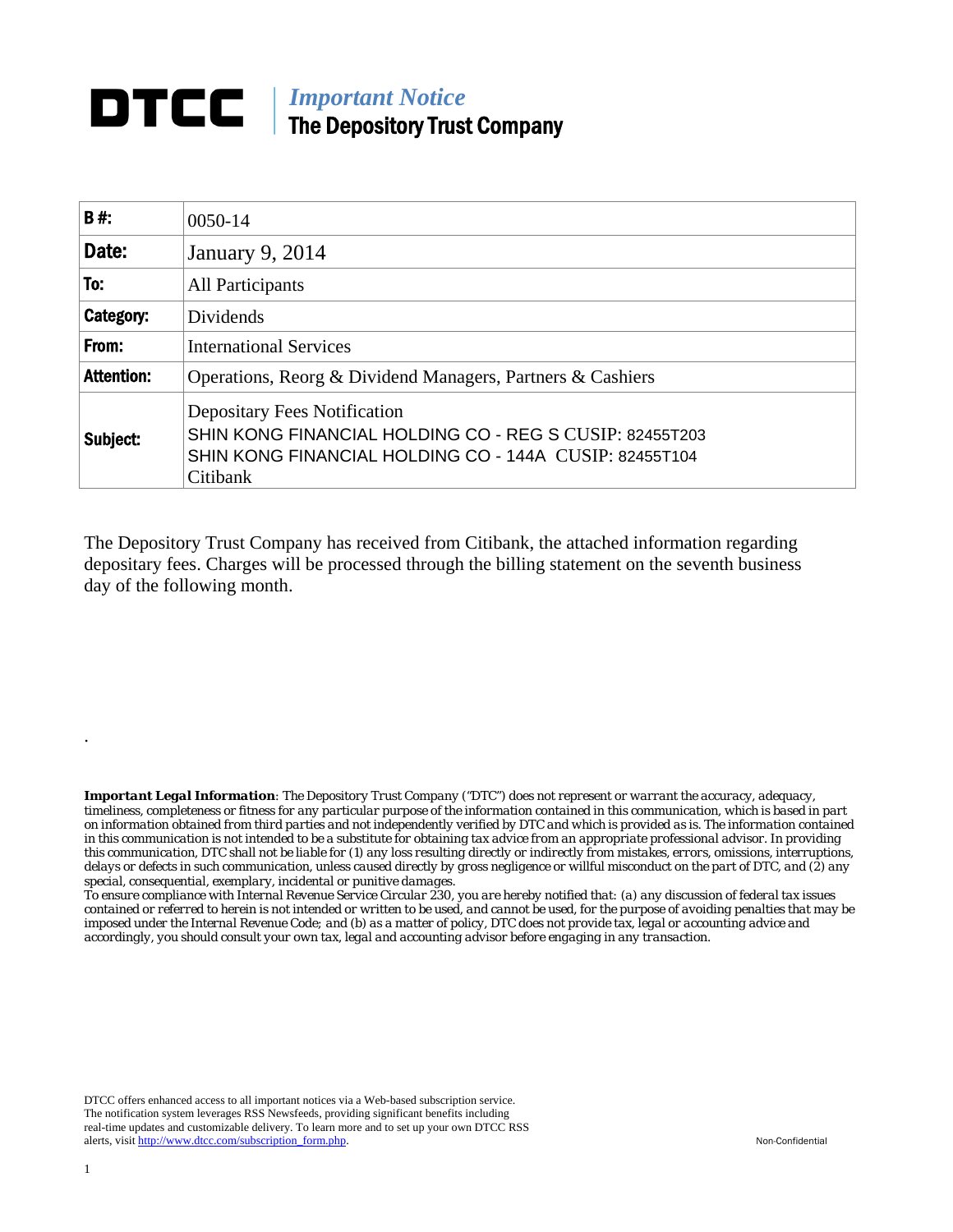## **DTCC** | *Important Notice* The Depository Trust Company

| <b>B#:</b>        | 0050-14                                                                                                                                                              |
|-------------------|----------------------------------------------------------------------------------------------------------------------------------------------------------------------|
| Date:             | <b>January 9, 2014</b>                                                                                                                                               |
| To:               | <b>All Participants</b>                                                                                                                                              |
| Category:         | Dividends                                                                                                                                                            |
| From:             | <b>International Services</b>                                                                                                                                        |
| <b>Attention:</b> | Operations, Reorg & Dividend Managers, Partners & Cashiers                                                                                                           |
| Subject:          | <b>Depositary Fees Notification</b><br>SHIN KONG FINANCIAL HOLDING CO - REG S CUSIP: 82455T203<br>SHIN KONG FINANCIAL HOLDING CO - 144A CUSIP: 82455T104<br>Citibank |

The Depository Trust Company has received from Citibank, the attached information regarding depositary fees. Charges will be processed through the billing statement on the seventh business day of the following month.

*Important Legal Information: The Depository Trust Company ("DTC") does not represent or warrant the accuracy, adequacy, timeliness, completeness or fitness for any particular purpose of the information contained in this communication, which is based in part on information obtained from third parties and not independently verified by DTC and which is provided as is. The information contained in this communication is not intended to be a substitute for obtaining tax advice from an appropriate professional advisor. In providing this communication, DTC shall not be liable for (1) any loss resulting directly or indirectly from mistakes, errors, omissions, interruptions, delays or defects in such communication, unless caused directly by gross negligence or willful misconduct on the part of DTC, and (2) any special, consequential, exemplary, incidental or punitive damages.* 

*To ensure compliance with Internal Revenue Service Circular 230, you are hereby notified that: (a) any discussion of federal tax issues contained or referred to herein is not intended or written to be used, and cannot be used, for the purpose of avoiding penalties that may be imposed under the Internal Revenue Code; and (b) as a matter of policy, DTC does not provide tax, legal or accounting advice and accordingly, you should consult your own tax, legal and accounting advisor before engaging in any transaction.*

DTCC offers enhanced access to all important notices via a Web-based subscription service. The notification system leverages RSS Newsfeeds, providing significant benefits including real-time updates and customizable delivery. To learn more and to set up your own DTCC RSS alerts, visit http://www.dtcc.com/subscription\_form.php. Non-Confidential

.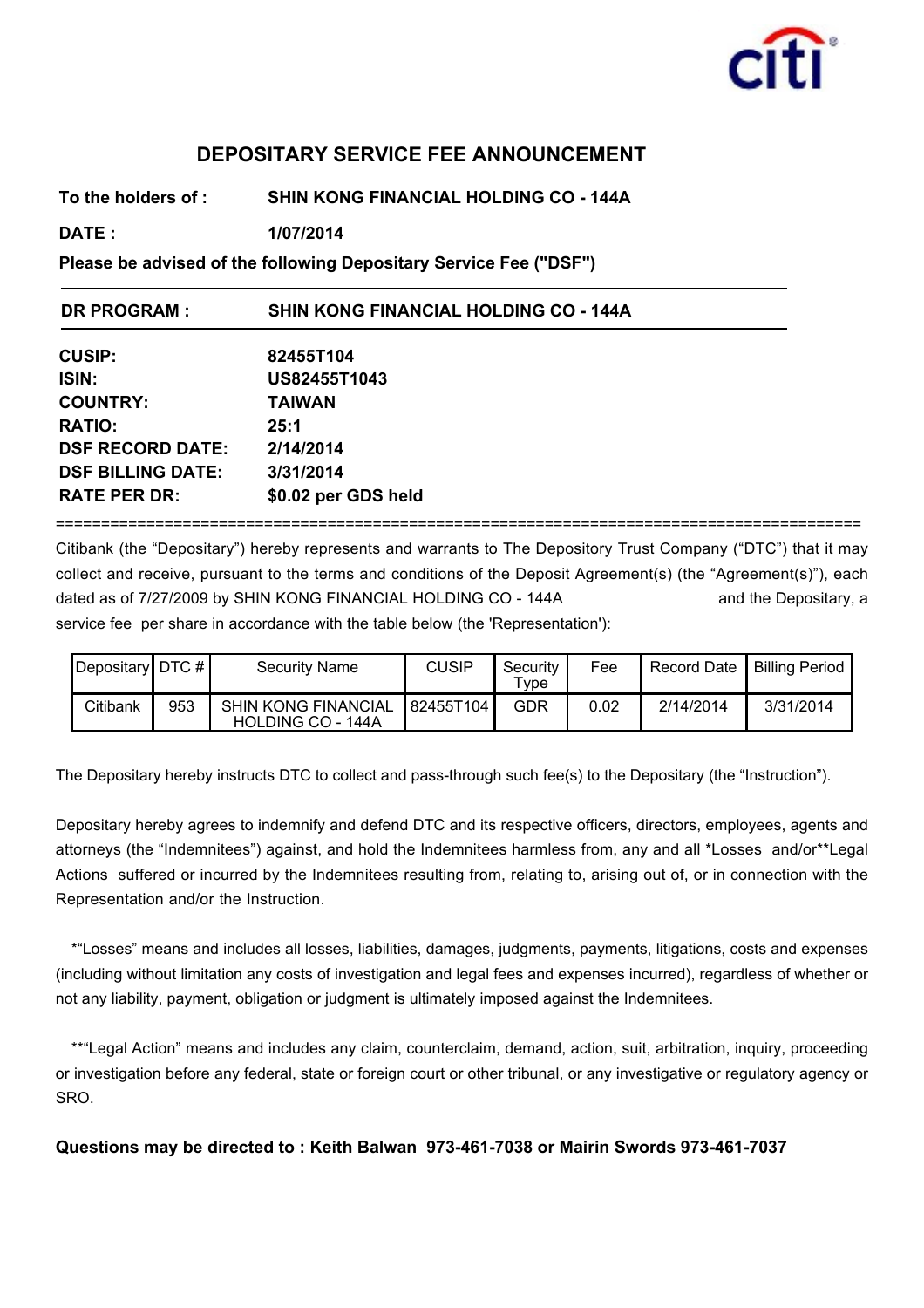

## **DEPOSITARY SERVICE FEE ANNOUNCEMENT**

**To the holders of : SHIN KONG FINANCIAL HOLDING CO - 144A**

**DATE : 1/07/2014**

**Please be advised of the following Depositary Service Fee ("DSF")**

| <b>DR PROGRAM:</b>       | <b>SHIN KONG FINANCIAL HOLDING CO - 144A</b> |  |  |  |
|--------------------------|----------------------------------------------|--|--|--|
| <b>CUSIP:</b>            | 82455T104                                    |  |  |  |
| <b>ISIN:</b>             | US82455T1043                                 |  |  |  |
| <b>COUNTRY:</b>          | <b>TAIWAN</b>                                |  |  |  |
| <b>RATIO:</b>            | 25:1                                         |  |  |  |
| <b>DSF RECORD DATE:</b>  | 2/14/2014                                    |  |  |  |
| <b>DSF BILLING DATE:</b> | 3/31/2014                                    |  |  |  |
| <b>RATE PER DR:</b>      | \$0.02 per GDS held                          |  |  |  |
|                          |                                              |  |  |  |

Citibank (the "Depositary") hereby represents and warrants to The Depository Trust Company ("DTC") that it may collect and receive, pursuant to the terms and conditions of the Deposit Agreement(s) (the "Agreement(s)"), each dated as of 7/27/2009 by SHIN KONG FINANCIAL HOLDING CO - 144A and the Depositary, a service fee per share in accordance with the table below (the 'Representation'):

| $\vert$ Depositary $\vert$ DTC # $\vert$ |     | <b>Security Name</b>                            | <b>CUSIP</b> | Security<br>$\tau_{\texttt{Vpe}}$ | Fee  | Record Date I | Billing Period |
|------------------------------------------|-----|-------------------------------------------------|--------------|-----------------------------------|------|---------------|----------------|
| Citibank                                 | 953 | <b>SHIN KONG FINANCIAL</b><br>HOLDING CO - 144A | 82455T104    | GDR                               | 0.02 | 2/14/2014     | 3/31/2014      |

The Depositary hereby instructs DTC to collect and pass-through such fee(s) to the Depositary (the "Instruction").

Depositary hereby agrees to indemnify and defend DTC and its respective officers, directors, employees, agents and attorneys (the "Indemnitees") against, and hold the Indemnitees harmless from, any and all \*Losses and/or\*\*Legal Actions suffered or incurred by the Indemnitees resulting from, relating to, arising out of, or in connection with the Representation and/or the Instruction.

\*"Losses" means and includes all losses, liabilities, damages, judgments, payments, litigations, costs and expenses (including without limitation any costs of investigation and legal fees and expenses incurred), regardless of whether or not any liability, payment, obligation or judgment is ultimately imposed against the Indemnitees.

\*\*"Legal Action" means and includes any claim, counterclaim, demand, action, suit, arbitration, inquiry, proceeding or investigation before any federal, state or foreign court or other tribunal, or any investigative or regulatory agency or SRO.

**Questions may be directed to : Keith Balwan 973-461-7038 or Mairin Swords 973-461-7037**